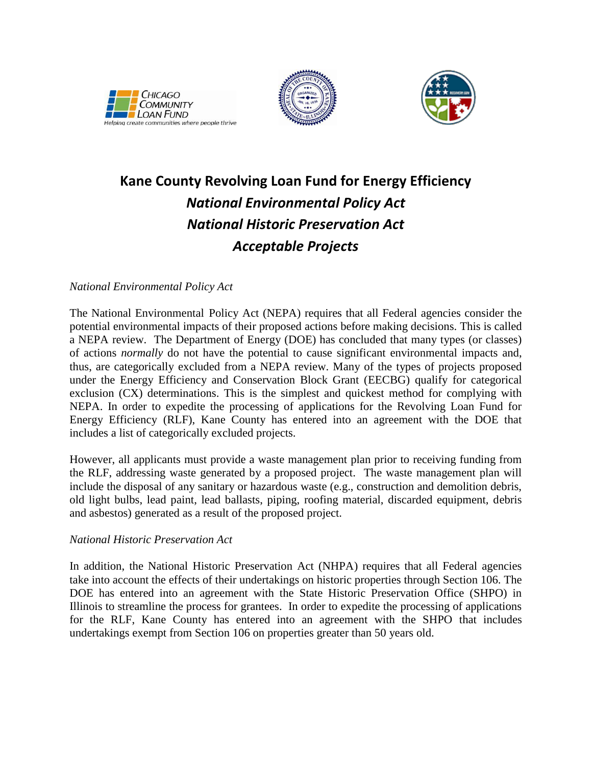





## **Kane County Revolving Loan Fund for Energy Efficiency** *National Environmental Policy Act National Historic Preservation Act Acceptable Projects*

## *National Environmental Policy Act*

The National Environmental Policy Act (NEPA) requires that all Federal agencies consider the potential environmental impacts of their proposed actions before making decisions. This is called a NEPA review. The Department of Energy (DOE) has concluded that many types (or classes) of actions *normally* do not have the potential to cause significant environmental impacts and, thus, are categorically excluded from a NEPA review. Many of the types of projects proposed under the Energy Efficiency and Conservation Block Grant (EECBG) qualify for categorical exclusion (CX) determinations. This is the simplest and quickest method for complying with NEPA. In order to expedite the processing of applications for the Revolving Loan Fund for Energy Efficiency (RLF), Kane County has entered into an agreement with the DOE that includes a list of categorically excluded projects.

However, all applicants must provide a waste management plan prior to receiving funding from the RLF, addressing waste generated by a proposed project. The waste management plan will include the disposal of any sanitary or hazardous waste (e.g., construction and demolition debris, old light bulbs, lead paint, lead ballasts, piping, roofing material, discarded equipment, debris and asbestos) generated as a result of the proposed project.

## *National Historic Preservation Act*

In addition, the National Historic Preservation Act (NHPA) requires that all Federal agencies take into account the effects of their undertakings on historic properties through Section 106. The DOE has entered into an agreement with the State Historic Preservation Office (SHPO) in Illinois to streamline the process for grantees. In order to expedite the processing of applications for the RLF, Kane County has entered into an agreement with the SHPO that includes undertakings exempt from Section 106 on properties greater than 50 years old.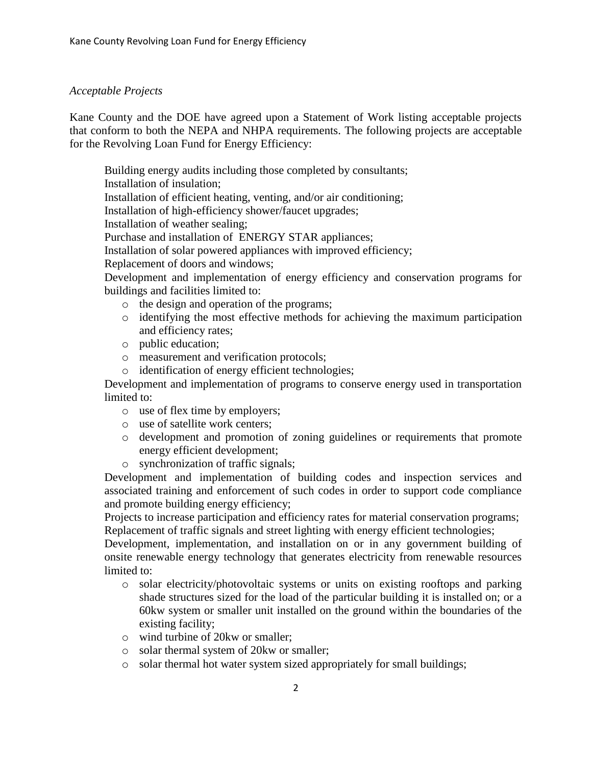## *Acceptable Projects*

Kane County and the DOE have agreed upon a Statement of Work listing acceptable projects that conform to both the NEPA and NHPA requirements. The following projects are acceptable for the Revolving Loan Fund for Energy Efficiency:

Building energy audits including those completed by consultants; Installation of insulation; Installation of efficient heating, venting, and/or air conditioning; Installation of high-efficiency shower/faucet upgrades; Installation of weather sealing;

Purchase and installation of ENERGY STAR appliances;

Installation of solar powered appliances with improved efficiency;

Replacement of doors and windows;

Development and implementation of energy efficiency and conservation programs for buildings and facilities limited to:

- o the design and operation of the programs;
- o identifying the most effective methods for achieving the maximum participation and efficiency rates;
- o public education;
- o measurement and verification protocols;
- o identification of energy efficient technologies;

Development and implementation of programs to conserve energy used in transportation limited to:

- o use of flex time by employers;
- o use of satellite work centers;
- o development and promotion of zoning guidelines or requirements that promote energy efficient development;
- o synchronization of traffic signals;

Development and implementation of building codes and inspection services and associated training and enforcement of such codes in order to support code compliance and promote building energy efficiency;

Projects to increase participation and efficiency rates for material conservation programs; Replacement of traffic signals and street lighting with energy efficient technologies;

Development, implementation, and installation on or in any government building of onsite renewable energy technology that generates electricity from renewable resources limited to:

- o solar electricity/photovoltaic systems or units on existing rooftops and parking shade structures sized for the load of the particular building it is installed on; or a 60kw system or smaller unit installed on the ground within the boundaries of the existing facility;
- o wind turbine of 20kw or smaller;
- o solar thermal system of 20kw or smaller;
- o solar thermal hot water system sized appropriately for small buildings;